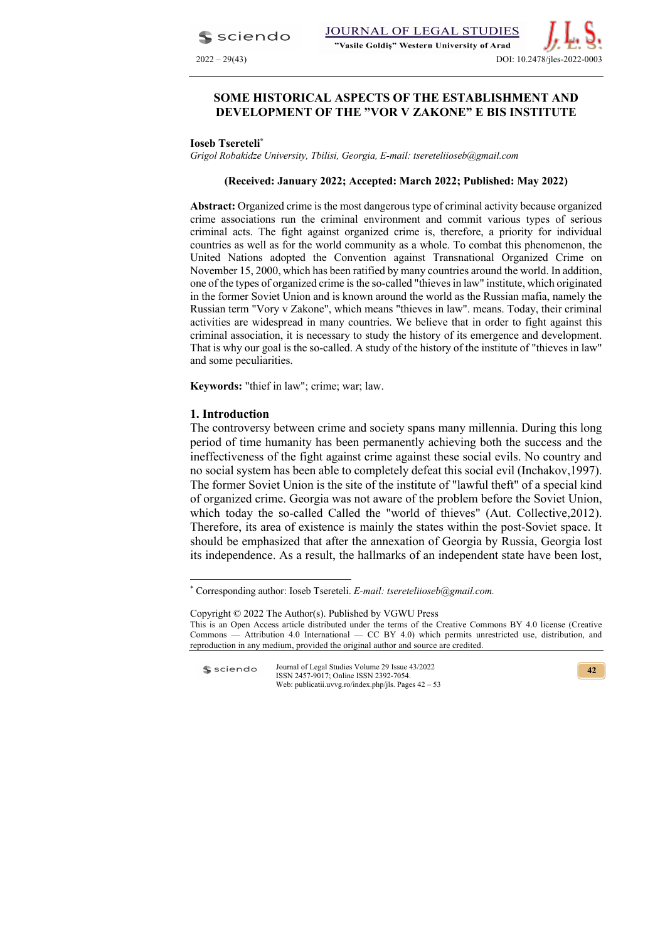sciendo

# **SOME HISTORICAL ASPECTS OF THE ESTABLISHMENT AND DEVELOPMENT OF THE "VOR V ZAKONE" E BIS INSTITUTE**

### **Ioseb Tsereteli\***

*Grigol Robakidze University, Tbilisi, Georgia, E-mail: tsereteliioseb@gmail.com*

### **(Received: January 2022; Accepted: March 2022; Published: May 2022)**

**Abstract:** Organized crime is the most dangerous type of criminal activity because organized crime associations run the criminal environment and commit various types of serious criminal acts. The fight against organized crime is, therefore, a priority for individual countries as well as for the world community as a whole. To combat this phenomenon, the United Nations adopted the Convention against Transnational Organized Crime on November 15, 2000, which has been ratified by many countries around the world. In addition, one of the types of organized crime is the so-called "thieves in law" institute, which originated in the former Soviet Union and is known around the world as the Russian mafia, namely the Russian term "Vory v Zakone", which means "thieves in law". means. Today, their criminal activities are widespread in many countries. We believe that in order to fight against this criminal association, it is necessary to study the history of its emergence and development. That is why our goal is the so-called. A study of the history of the institute of "thieves in law" and some peculiarities.

**Keywords:** "thief in law"; crime; war; law.

## **1. Introduction**

The controversy between crime and society spans many millennia. During this long period of time humanity has been permanently achieving both the success and the ineffectiveness of the fight against crime against these social evils. No country and no social system has been able to completely defeat this social evil (Inchakov,1997). The former Soviet Union is the site of the institute of "lawful theft" of a special kind of organized crime. Georgia was not aware of the problem before the Soviet Union, which today the so-called Called the "world of thieves" (Aut. Collective, 2012). Therefore, its area of existence is mainly the states within the post-Soviet space. It should be emphasized that after the annexation of Georgia by Russia, Georgia lost its independence. As a result, the hallmarks of an independent state have been lost,

Journal of Legal Studies Volume 29 Issue 43/2022 sciendo ISSN 2457-9017; Online ISSN 2392-7054. Web: publicatii.uvvg.ro/index.php/jls. Pages 42 – 53

<sup>\*</sup> Corresponding author: Ioseb Tsereteli. *E-mail: tsereteliioseb@gmail.com.* 

Copyright © 2022 The Author(s). Published by VGWU Press This is an Open Access article distributed under the terms of the Creative Commons BY 4.0 license (Creative Commons — Attribution 4.0 International — CC BY 4.0) which permits unrestricted use, distribution, and reproduction in any medium, provided the original author and source are credited.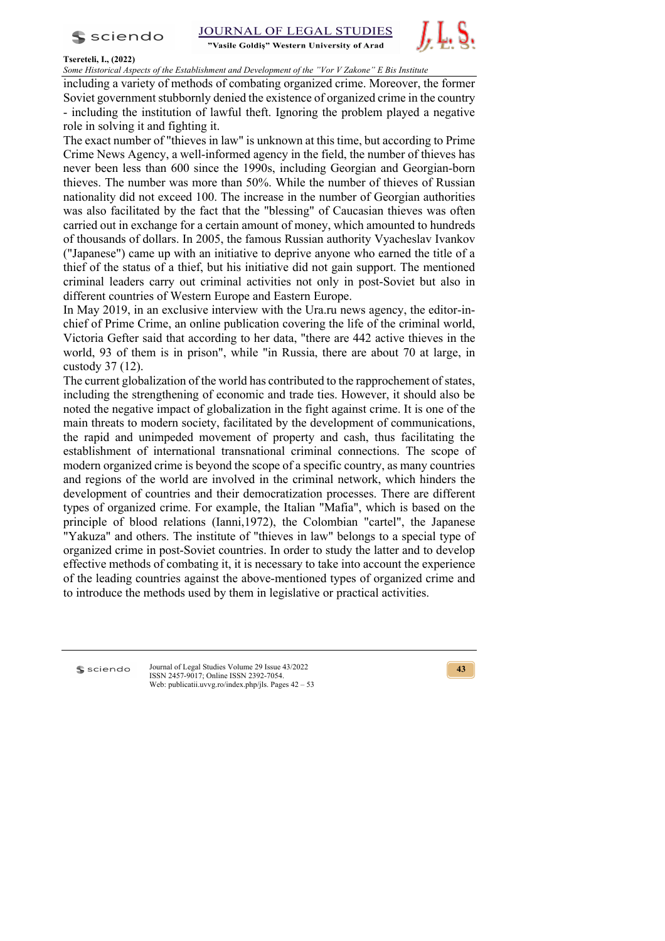$s$  sciendo

**STUDIES JOURNAL OF LEGAL** 

"Vasile Goldis" Western University of Arad



## **Tsereteli, I., (2022)**

*Some Historical Aspects of the Establishment and Development of the "Vor V Zakone" E Bis Institute* 

including a variety of methods of combating organized crime. Moreover, the former Soviet government stubbornly denied the existence of organized crime in the country - including the institution of lawful theft. Ignoring the problem played a negative role in solving it and fighting it.

The exact number of "thieves in law" is unknown at this time, but according to Prime Crime News Agency, a well-informed agency in the field, the number of thieves has never been less than 600 since the 1990s, including Georgian and Georgian-born thieves. The number was more than 50%. While the number of thieves of Russian nationality did not exceed 100. The increase in the number of Georgian authorities was also facilitated by the fact that the "blessing" of Caucasian thieves was often carried out in exchange for a certain amount of money, which amounted to hundreds of thousands of dollars. In 2005, the famous Russian authority Vyacheslav Ivankov ("Japanese") came up with an initiative to deprive anyone who earned the title of a thief of the status of a thief, but his initiative did not gain support. The mentioned criminal leaders carry out criminal activities not only in post-Soviet but also in different countries of Western Europe and Eastern Europe.

In May 2019, in an exclusive interview with the Ura.ru news agency, the editor-inchief of Prime Crime, an online publication covering the life of the criminal world, Victoria Gefter said that according to her data, "there are 442 active thieves in the world, 93 of them is in prison", while "in Russia, there are about 70 at large, in custody 37 (12).

The current globalization of the world has contributed to the rapprochement of states, including the strengthening of economic and trade ties. However, it should also be noted the negative impact of globalization in the fight against crime. It is one of the main threats to modern society, facilitated by the development of communications, the rapid and unimpeded movement of property and cash, thus facilitating the establishment of international transnational criminal connections. The scope of modern organized crime is beyond the scope of a specific country, as many countries and regions of the world are involved in the criminal network, which hinders the development of countries and their democratization processes. There are different types of organized crime. For example, the Italian "Mafia", which is based on the principle of blood relations (Ianni,1972), the Colombian "cartel", the Japanese "Yakuza" and others. The institute of "thieves in law" belongs to a special type of organized crime in post-Soviet countries. In order to study the latter and to develop effective methods of combating it, it is necessary to take into account the experience of the leading countries against the above-mentioned types of organized crime and to introduce the methods used by them in legislative or practical activities.

**S** sciendo

Journal of Legal Studies Volume 29 Issue 43/2022 ISSN 2457-9017; Online ISSN 2392-7054. Web: publicatii.uvvg.ro/index.php/jls. Pages 42 – 53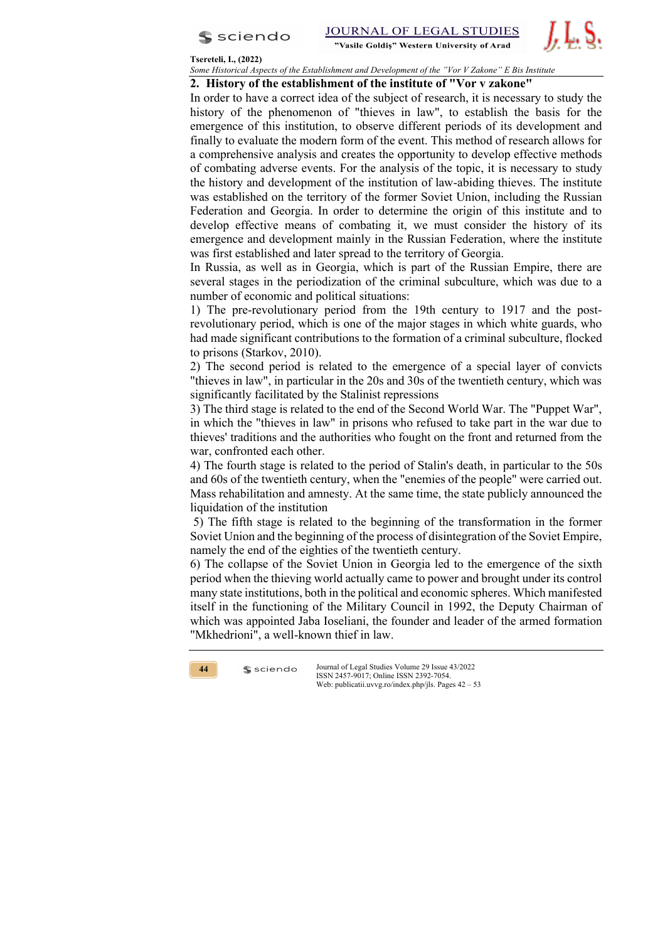



## **Tsereteli, I., (2022)**

*Some Historical Aspects of the Establishment and Development of the "Vor V Zakone" E Bis Institute* 

## **2. History of the establishment of the institute of "Vor v zakone"**

In order to have a correct idea of the subject of research, it is necessary to study the history of the phenomenon of "thieves in law", to establish the basis for the emergence of this institution, to observe different periods of its development and finally to evaluate the modern form of the event. This method of research allows for a comprehensive analysis and creates the opportunity to develop effective methods of combating adverse events. For the analysis of the topic, it is necessary to study the history and development of the institution of law-abiding thieves. The institute was established on the territory of the former Soviet Union, including the Russian Federation and Georgia. In order to determine the origin of this institute and to develop effective means of combating it, we must consider the history of its emergence and development mainly in the Russian Federation, where the institute was first established and later spread to the territory of Georgia.

In Russia, as well as in Georgia, which is part of the Russian Empire, there are several stages in the periodization of the criminal subculture, which was due to a number of economic and political situations:

1) The pre-revolutionary period from the 19th century to 1917 and the postrevolutionary period, which is one of the major stages in which white guards, who had made significant contributions to the formation of a criminal subculture, flocked to prisons (Starkov, 2010).

2) The second period is related to the emergence of a special layer of convicts "thieves in law", in particular in the 20s and 30s of the twentieth century, which was significantly facilitated by the Stalinist repressions

3) The third stage is related to the end of the Second World War. The "Puppet War", in which the "thieves in law" in prisons who refused to take part in the war due to thieves' traditions and the authorities who fought on the front and returned from the war, confronted each other.

4) The fourth stage is related to the period of Stalin's death, in particular to the 50s and 60s of the twentieth century, when the "enemies of the people" were carried out. Mass rehabilitation and amnesty. At the same time, the state publicly announced the liquidation of the institution

5) The fifth stage is related to the beginning of the transformation in the former Soviet Union and the beginning of the process of disintegration of the Soviet Empire, namely the end of the eighties of the twentieth century.

6) The collapse of the Soviet Union in Georgia led to the emergence of the sixth period when the thieving world actually came to power and brought under its control many state institutions, both in the political and economic spheres. Which manifested itself in the functioning of the Military Council in 1992, the Deputy Chairman of which was appointed Jaba Ioseliani, the founder and leader of the armed formation "Mkhedrioni", a well-known thief in law.



 $s$  sciendo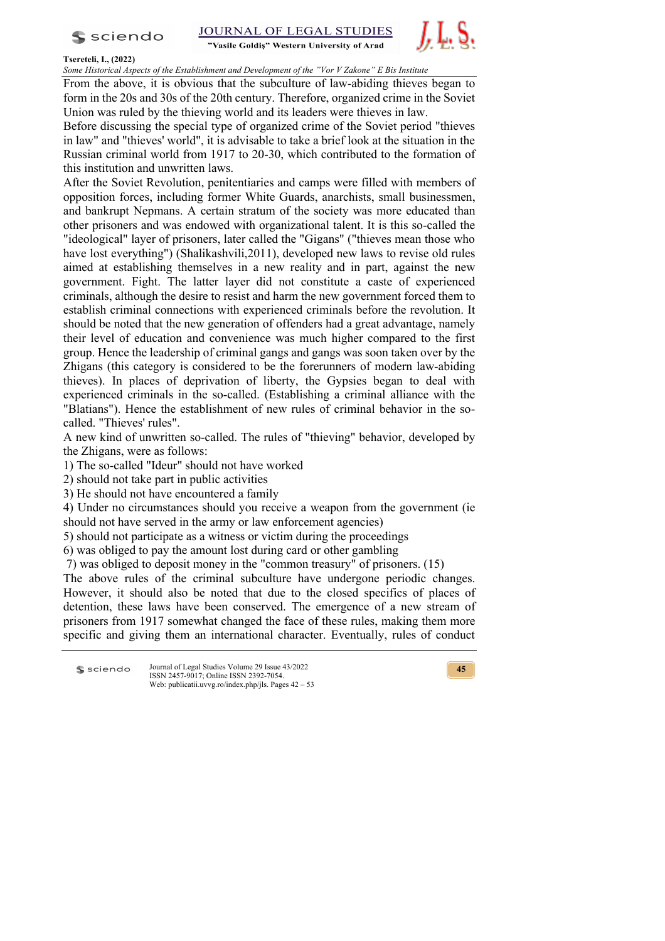$s$  sciendo

"Vasile Goldis" Western University of Arad



## **Tsereteli, I., (2022)**

*Some Historical Aspects of the Establishment and Development of the "Vor V Zakone" E Bis Institute* 

From the above, it is obvious that the subculture of law-abiding thieves began to form in the 20s and 30s of the 20th century. Therefore, organized crime in the Soviet Union was ruled by the thieving world and its leaders were thieves in law.

Before discussing the special type of organized crime of the Soviet period "thieves in law" and "thieves' world", it is advisable to take a brief look at the situation in the Russian criminal world from 1917 to 20-30, which contributed to the formation of this institution and unwritten laws.

After the Soviet Revolution, penitentiaries and camps were filled with members of opposition forces, including former White Guards, anarchists, small businessmen, and bankrupt Nepmans. A certain stratum of the society was more educated than other prisoners and was endowed with organizational talent. It is this so-called the "ideological" layer of prisoners, later called the "Gigans" ("thieves mean those who have lost everything") (Shalikashvili,2011), developed new laws to revise old rules aimed at establishing themselves in a new reality and in part, against the new government. Fight. The latter layer did not constitute a caste of experienced criminals, although the desire to resist and harm the new government forced them to establish criminal connections with experienced criminals before the revolution. It should be noted that the new generation of offenders had a great advantage, namely their level of education and convenience was much higher compared to the first group. Hence the leadership of criminal gangs and gangs was soon taken over by the Zhigans (this category is considered to be the forerunners of modern law-abiding thieves). In places of deprivation of liberty, the Gypsies began to deal with experienced criminals in the so-called. (Establishing a criminal alliance with the "Blatians"). Hence the establishment of new rules of criminal behavior in the socalled. "Thieves' rules".

A new kind of unwritten so-called. The rules of "thieving" behavior, developed by the Zhigans, were as follows:

1) The so-called "Ideur" should not have worked

- 2) should not take part in public activities
- 3) He should not have encountered a family

4) Under no circumstances should you receive a weapon from the government (ie should not have served in the army or law enforcement agencies)

5) should not participate as a witness or victim during the proceedings

6) was obliged to pay the amount lost during card or other gambling

7) was obliged to deposit money in the "common treasury" of prisoners. (15)

The above rules of the criminal subculture have undergone periodic changes. However, it should also be noted that due to the closed specifics of places of detention, these laws have been conserved. The emergence of a new stream of prisoners from 1917 somewhat changed the face of these rules, making them more specific and giving them an international character. Eventually, rules of conduct

| $s$ sciendo | Journal of Legal Studies Volume 29 Issue 43/2022<br>ISSN 2457-9017: Online ISSN 2392-7054. |
|-------------|--------------------------------------------------------------------------------------------|
|             | Web: publicatii.uvvg.ro/index.php/jls. Pages $42 - 53$                                     |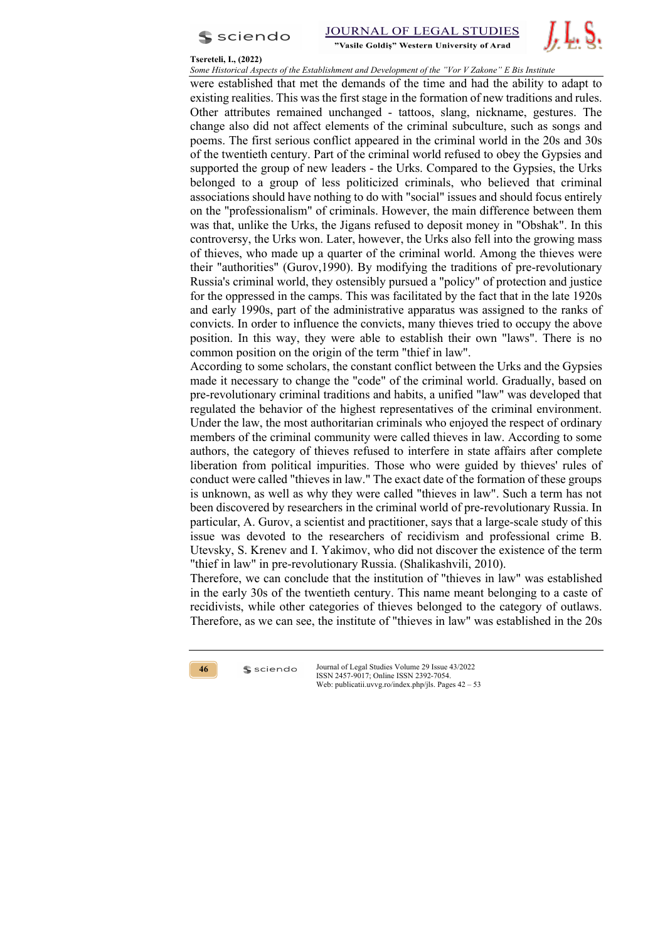

#### **Tsereteli, I., (2022)**

*Some Historical Aspects of the Establishment and Development of the "Vor V Zakone" E Bis Institute* 

were established that met the demands of the time and had the ability to adapt to existing realities. This was the first stage in the formation of new traditions and rules. Other attributes remained unchanged - tattoos, slang, nickname, gestures. The change also did not affect elements of the criminal subculture, such as songs and poems. The first serious conflict appeared in the criminal world in the 20s and 30s of the twentieth century. Part of the criminal world refused to obey the Gypsies and supported the group of new leaders - the Urks. Compared to the Gypsies, the Urks belonged to a group of less politicized criminals, who believed that criminal associations should have nothing to do with "social" issues and should focus entirely on the "professionalism" of criminals. However, the main difference between them was that, unlike the Urks, the Jigans refused to deposit money in "Obshak". In this controversy, the Urks won. Later, however, the Urks also fell into the growing mass of thieves, who made up a quarter of the criminal world. Among the thieves were their "authorities" (Gurov,1990). By modifying the traditions of pre-revolutionary Russia's criminal world, they ostensibly pursued a "policy" of protection and justice for the oppressed in the camps. This was facilitated by the fact that in the late 1920s and early 1990s, part of the administrative apparatus was assigned to the ranks of convicts. In order to influence the convicts, many thieves tried to occupy the above position. In this way, they were able to establish their own "laws". There is no common position on the origin of the term "thief in law".

According to some scholars, the constant conflict between the Urks and the Gypsies made it necessary to change the "code" of the criminal world. Gradually, based on pre-revolutionary criminal traditions and habits, a unified "law" was developed that regulated the behavior of the highest representatives of the criminal environment. Under the law, the most authoritarian criminals who enjoyed the respect of ordinary members of the criminal community were called thieves in law. According to some authors, the category of thieves refused to interfere in state affairs after complete liberation from political impurities. Those who were guided by thieves' rules of conduct were called "thieves in law." The exact date of the formation of these groups is unknown, as well as why they were called "thieves in law". Such a term has not been discovered by researchers in the criminal world of pre-revolutionary Russia. In particular, A. Gurov, a scientist and practitioner, says that a large-scale study of this issue was devoted to the researchers of recidivism and professional crime B. Utevsky, S. Krenev and I. Yakimov, who did not discover the existence of the term "thief in law" in pre-revolutionary Russia. (Shalikashvili, 2010).

Therefore, we can conclude that the institution of "thieves in law" was established in the early 30s of the twentieth century. This name meant belonging to a caste of recidivists, while other categories of thieves belonged to the category of outlaws. Therefore, as we can see, the institute of "thieves in law" was established in the 20s

**46**

 $s$  sciendo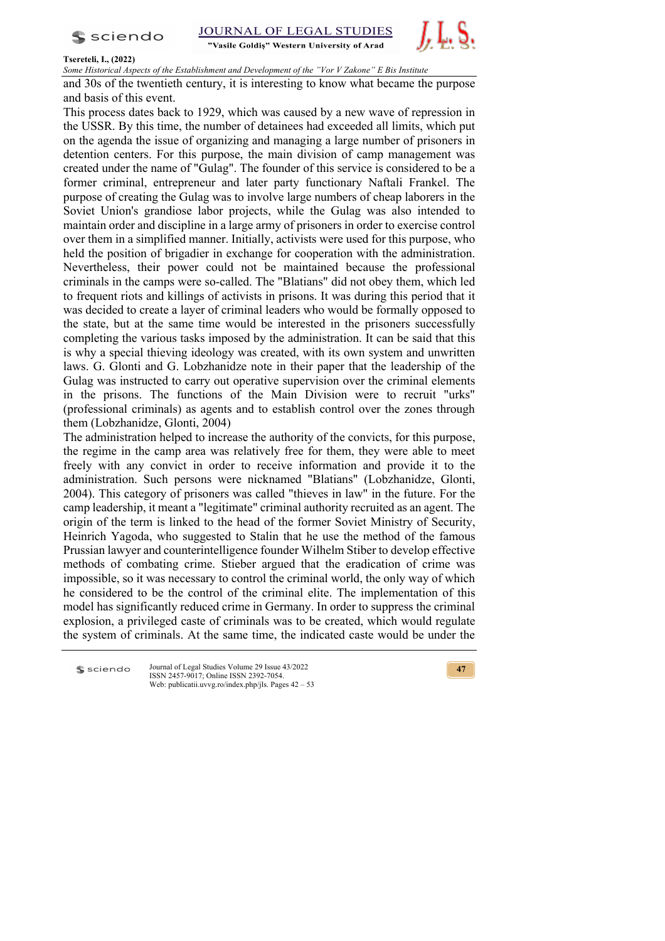$s$  sciendo

**STUDIES JOURNAL OF LEGAL** 

"Vasile Goldis" Western University of Arad



## **Tsereteli, I., (2022)**

*Some Historical Aspects of the Establishment and Development of the "Vor V Zakone" E Bis Institute* 

and 30s of the twentieth century, it is interesting to know what became the purpose and basis of this event.

This process dates back to 1929, which was caused by a new wave of repression in the USSR. By this time, the number of detainees had exceeded all limits, which put on the agenda the issue of organizing and managing a large number of prisoners in detention centers. For this purpose, the main division of camp management was created under the name of "Gulag". The founder of this service is considered to be a former criminal, entrepreneur and later party functionary Naftali Frankel. The purpose of creating the Gulag was to involve large numbers of cheap laborers in the Soviet Union's grandiose labor projects, while the Gulag was also intended to maintain order and discipline in a large army of prisoners in order to exercise control over them in a simplified manner. Initially, activists were used for this purpose, who held the position of brigadier in exchange for cooperation with the administration. Nevertheless, their power could not be maintained because the professional criminals in the camps were so-called. The "Blatians" did not obey them, which led to frequent riots and killings of activists in prisons. It was during this period that it was decided to create a layer of criminal leaders who would be formally opposed to the state, but at the same time would be interested in the prisoners successfully completing the various tasks imposed by the administration. It can be said that this is why a special thieving ideology was created, with its own system and unwritten laws. G. Glonti and G. Lobzhanidze note in their paper that the leadership of the Gulag was instructed to carry out operative supervision over the criminal elements in the prisons. The functions of the Main Division were to recruit "urks" (professional criminals) as agents and to establish control over the zones through them (Lobzhanidze, Glonti, 2004)

The administration helped to increase the authority of the convicts, for this purpose, the regime in the camp area was relatively free for them, they were able to meet freely with any convict in order to receive information and provide it to the administration. Such persons were nicknamed "Blatians" (Lobzhanidze, Glonti, 2004). This category of prisoners was called "thieves in law" in the future. For the camp leadership, it meant a "legitimate" criminal authority recruited as an agent. The origin of the term is linked to the head of the former Soviet Ministry of Security, Heinrich Yagoda, who suggested to Stalin that he use the method of the famous Prussian lawyer and counterintelligence founder Wilhelm Stiber to develop effective methods of combating crime. Stieber argued that the eradication of crime was impossible, so it was necessary to control the criminal world, the only way of which he considered to be the control of the criminal elite. The implementation of this model has significantly reduced crime in Germany. In order to suppress the criminal explosion, a privileged caste of criminals was to be created, which would regulate the system of criminals. At the same time, the indicated caste would be under the

**S** sciendo

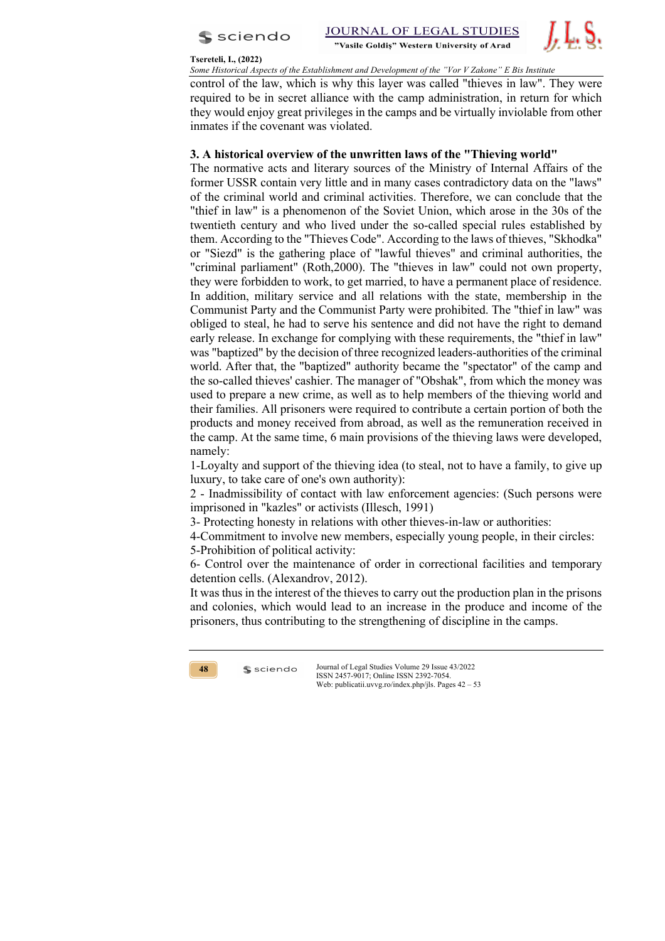

#### **Tsereteli, I., (2022)**

*Some Historical Aspects of the Establishment and Development of the "Vor V Zakone" E Bis Institute* 

control of the law, which is why this layer was called "thieves in law". They were required to be in secret alliance with the camp administration, in return for which they would enjoy great privileges in the camps and be virtually inviolable from other inmates if the covenant was violated.

## **3. A historical overview of the unwritten laws of the "Thieving world"**

The normative acts and literary sources of the Ministry of Internal Affairs of the former USSR contain very little and in many cases contradictory data on the "laws" of the criminal world and criminal activities. Therefore, we can conclude that the "thief in law" is a phenomenon of the Soviet Union, which arose in the 30s of the twentieth century and who lived under the so-called special rules established by them. According to the "Thieves Code". According to the laws of thieves, "Skhodka" or "Siezd" is the gathering place of "lawful thieves" and criminal authorities, the "criminal parliament" (Roth,2000). The "thieves in law" could not own property, they were forbidden to work, to get married, to have a permanent place of residence. In addition, military service and all relations with the state, membership in the Communist Party and the Communist Party were prohibited. The "thief in law" was obliged to steal, he had to serve his sentence and did not have the right to demand early release. In exchange for complying with these requirements, the "thief in law" was "baptized" by the decision of three recognized leaders-authorities of the criminal world. After that, the "baptized" authority became the "spectator" of the camp and the so-called thieves' cashier. The manager of "Obshak", from which the money was used to prepare a new crime, as well as to help members of the thieving world and their families. All prisoners were required to contribute a certain portion of both the products and money received from abroad, as well as the remuneration received in the camp. At the same time, 6 main provisions of the thieving laws were developed, namely:

1-Loyalty and support of the thieving idea (to steal, not to have a family, to give up luxury, to take care of one's own authority):

2 - Inadmissibility of contact with law enforcement agencies: (Such persons were imprisoned in "kazles" or activists (Illesch, 1991)

3- Protecting honesty in relations with other thieves-in-law or authorities:

4-Commitment to involve new members, especially young people, in their circles:

5-Prohibition of political activity:

 $s$  sciendo

6- Control over the maintenance of order in correctional facilities and temporary detention cells. (Alexandrov, 2012).

It was thus in the interest of the thieves to carry out the production plan in the prisons and colonies, which would lead to an increase in the produce and income of the prisoners, thus contributing to the strengthening of discipline in the camps.

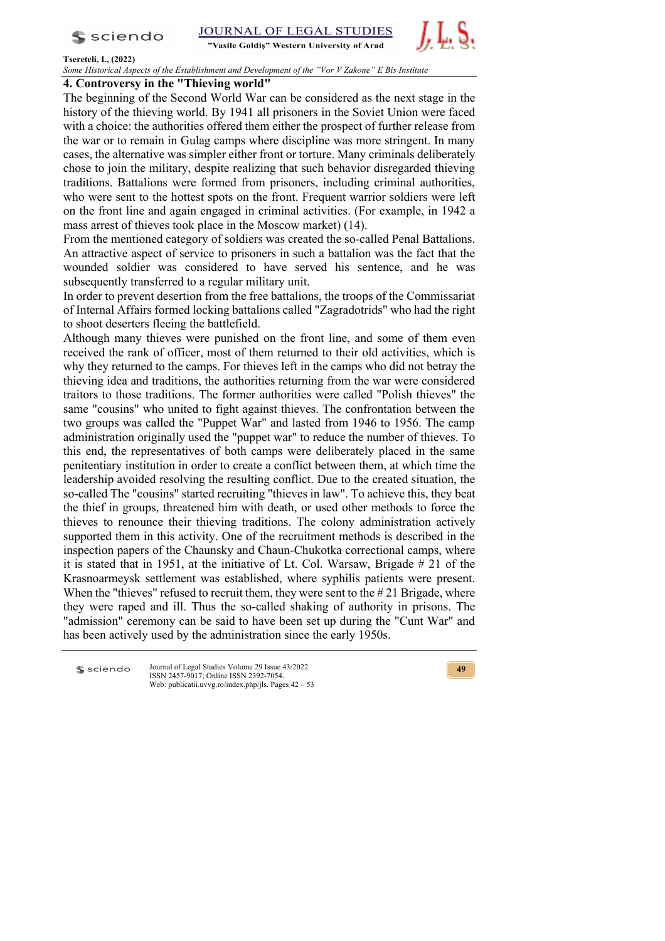

**JOURNAL OF LEGAL STUDIES** 

"Vasile Goldis" Western University of Arad



#### **Tsereteli, I., (2022)**

*Some Historical Aspects of the Establishment and Development of the "Vor V Zakone" E Bis Institute* 

## **4. Controversy in the "Thieving world"**

The beginning of the Second World War can be considered as the next stage in the history of the thieving world. By 1941 all prisoners in the Soviet Union were faced with a choice: the authorities offered them either the prospect of further release from the war or to remain in Gulag camps where discipline was more stringent. In many cases, the alternative was simpler either front or torture. Many criminals deliberately chose to join the military, despite realizing that such behavior disregarded thieving traditions. Battalions were formed from prisoners, including criminal authorities, who were sent to the hottest spots on the front. Frequent warrior soldiers were left on the front line and again engaged in criminal activities. (For example, in 1942 a mass arrest of thieves took place in the Moscow market) (14).

From the mentioned category of soldiers was created the so-called Penal Battalions. An attractive aspect of service to prisoners in such a battalion was the fact that the wounded soldier was considered to have served his sentence, and he was subsequently transferred to a regular military unit.

In order to prevent desertion from the free battalions, the troops of the Commissariat of Internal Affairs formed locking battalions called "Zagradotrids" who had the right to shoot deserters fleeing the battlefield.

Although many thieves were punished on the front line, and some of them even received the rank of officer, most of them returned to their old activities, which is why they returned to the camps. For thieves left in the camps who did not betray the thieving idea and traditions, the authorities returning from the war were considered traitors to those traditions. The former authorities were called "Polish thieves" the same "cousins" who united to fight against thieves. The confrontation between the two groups was called the "Puppet War" and lasted from 1946 to 1956. The camp administration originally used the "puppet war" to reduce the number of thieves. To this end, the representatives of both camps were deliberately placed in the same penitentiary institution in order to create a conflict between them, at which time the leadership avoided resolving the resulting conflict. Due to the created situation, the so-called The "cousins" started recruiting "thieves in law". To achieve this, they beat the thief in groups, threatened him with death, or used other methods to force the thieves to renounce their thieving traditions. The colony administration actively supported them in this activity. One of the recruitment methods is described in the inspection papers of the Chaunsky and Chaun-Chukotka correctional camps, where it is stated that in 1951, at the initiative of Lt. Col. Warsaw, Brigade # 21 of the Krasnoarmeysk settlement was established, where syphilis patients were present. When the "thieves" refused to recruit them, they were sent to the #21 Brigade, where they were raped and ill. Thus the so-called shaking of authority in prisons. The "admission" ceremony can be said to have been set up during the "Cunt War" and has been actively used by the administration since the early 1950s.

Journal of Legal Studies Volume 29 Issue 43/2022 **S** sciendo ISSN 2457-9017; Online ISSN 2392-7054. Web: publicatii.uvvg.ro/index.php/jls. Pages 42 – 53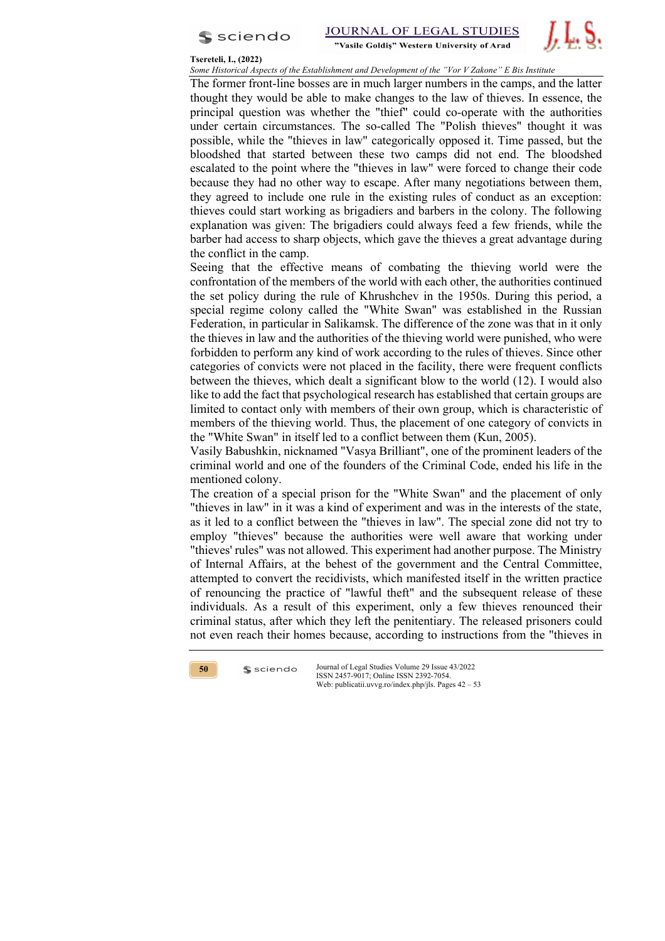

#### **Tsereteli, I., (2022)**

*Some Historical Aspects of the Establishment and Development of the "Vor V Zakone" E Bis Institute* 

The former front-line bosses are in much larger numbers in the camps, and the latter thought they would be able to make changes to the law of thieves. In essence, the principal question was whether the "thief" could co-operate with the authorities under certain circumstances. The so-called The "Polish thieves" thought it was possible, while the "thieves in law" categorically opposed it. Time passed, but the bloodshed that started between these two camps did not end. The bloodshed escalated to the point where the "thieves in law" were forced to change their code because they had no other way to escape. After many negotiations between them, they agreed to include one rule in the existing rules of conduct as an exception: thieves could start working as brigadiers and barbers in the colony. The following explanation was given: The brigadiers could always feed a few friends, while the barber had access to sharp objects, which gave the thieves a great advantage during the conflict in the camp.

Seeing that the effective means of combating the thieving world were the confrontation of the members of the world with each other, the authorities continued the set policy during the rule of Khrushchev in the 1950s. During this period, a special regime colony called the "White Swan" was established in the Russian Federation, in particular in Salikamsk. The difference of the zone was that in it only the thieves in law and the authorities of the thieving world were punished, who were forbidden to perform any kind of work according to the rules of thieves. Since other categories of convicts were not placed in the facility, there were frequent conflicts between the thieves, which dealt a significant blow to the world (12). I would also like to add the fact that psychological research has established that certain groups are limited to contact only with members of their own group, which is characteristic of members of the thieving world. Thus, the placement of one category of convicts in the "White Swan" in itself led to a conflict between them (Kun, 2005).

Vasily Babushkin, nicknamed "Vasya Brilliant", one of the prominent leaders of the criminal world and one of the founders of the Criminal Code, ended his life in the mentioned colony.

The creation of a special prison for the "White Swan" and the placement of only "thieves in law" in it was a kind of experiment and was in the interests of the state, as it led to a conflict between the "thieves in law". The special zone did not try to employ "thieves" because the authorities were well aware that working under "thieves' rules" was not allowed. This experiment had another purpose. The Ministry of Internal Affairs, at the behest of the government and the Central Committee, attempted to convert the recidivists, which manifested itself in the written practice of renouncing the practice of "lawful theft" and the subsequent release of these individuals. As a result of this experiment, only a few thieves renounced their criminal status, after which they left the penitentiary. The released prisoners could not even reach their homes because, according to instructions from the "thieves in



 $s$  sciendo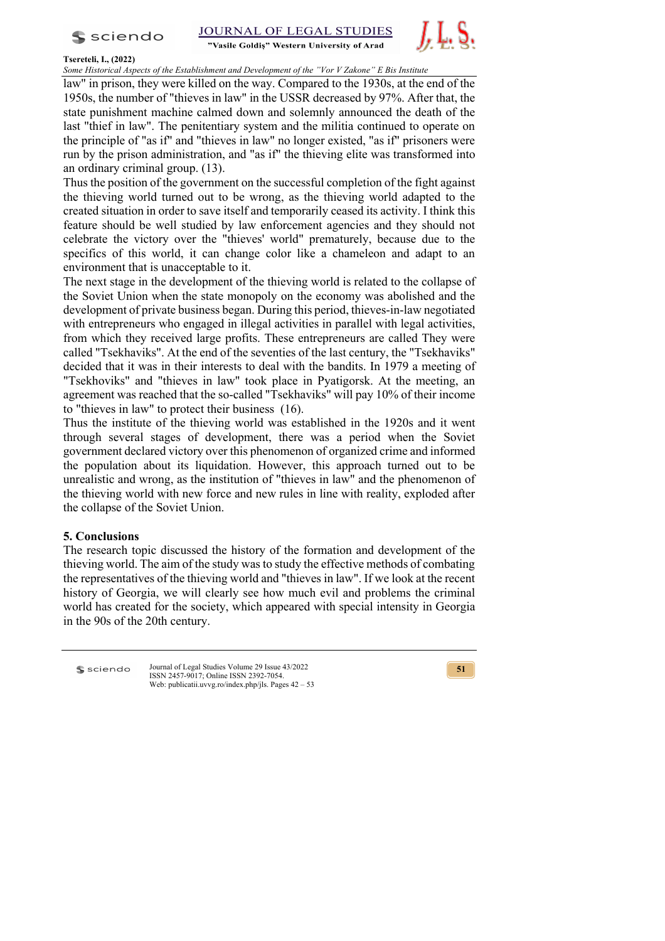

STUDIES **JOURNAL OF LEGAL** 





## **Tsereteli, I., (2022)**

*Some Historical Aspects of the Establishment and Development of the "Vor V Zakone" E Bis Institute* 

law" in prison, they were killed on the way. Compared to the 1930s, at the end of the 1950s, the number of "thieves in law" in the USSR decreased by 97%. After that, the state punishment machine calmed down and solemnly announced the death of the last "thief in law". The penitentiary system and the militia continued to operate on the principle of "as if" and "thieves in law" no longer existed, "as if" prisoners were run by the prison administration, and "as if" the thieving elite was transformed into an ordinary criminal group. (13).

Thus the position of the government on the successful completion of the fight against the thieving world turned out to be wrong, as the thieving world adapted to the created situation in order to save itself and temporarily ceased its activity. I think this feature should be well studied by law enforcement agencies and they should not celebrate the victory over the "thieves' world" prematurely, because due to the specifics of this world, it can change color like a chameleon and adapt to an environment that is unacceptable to it.

The next stage in the development of the thieving world is related to the collapse of the Soviet Union when the state monopoly on the economy was abolished and the development of private business began. During this period, thieves-in-law negotiated with entrepreneurs who engaged in illegal activities in parallel with legal activities, from which they received large profits. These entrepreneurs are called They were called "Tsekhaviks". At the end of the seventies of the last century, the "Tsekhaviks" decided that it was in their interests to deal with the bandits. In 1979 a meeting of "Tsekhoviks" and "thieves in law" took place in Pyatigorsk. At the meeting, an agreement was reached that the so-called "Tsekhaviks" will pay 10% of their income to "thieves in law" to protect their business (16).

Thus the institute of the thieving world was established in the 1920s and it went through several stages of development, there was a period when the Soviet government declared victory over this phenomenon of organized crime and informed the population about its liquidation. However, this approach turned out to be unrealistic and wrong, as the institution of "thieves in law" and the phenomenon of the thieving world with new force and new rules in line with reality, exploded after the collapse of the Soviet Union.

## **5. Conclusions**

The research topic discussed the history of the formation and development of the thieving world. The aim of the study was to study the effective methods of combating the representatives of the thieving world and "thieves in law". If we look at the recent history of Georgia, we will clearly see how much evil and problems the criminal world has created for the society, which appeared with special intensity in Georgia in the 90s of the 20th century.

**S** sciendo

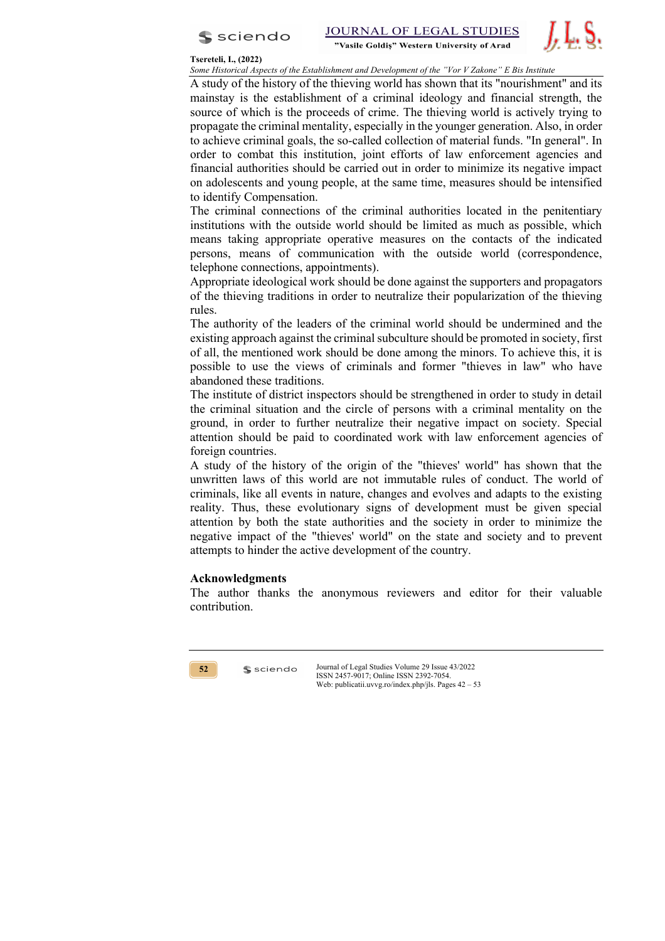

## **Tsereteli, I., (2022)**

*Some Historical Aspects of the Establishment and Development of the "Vor V Zakone" E Bis Institute* 

A study of the history of the thieving world has shown that its "nourishment" and its mainstay is the establishment of a criminal ideology and financial strength, the source of which is the proceeds of crime. The thieving world is actively trying to propagate the criminal mentality, especially in the younger generation. Also, in order to achieve criminal goals, the so-called collection of material funds. "In general". In order to combat this institution, joint efforts of law enforcement agencies and financial authorities should be carried out in order to minimize its negative impact on adolescents and young people, at the same time, measures should be intensified to identify Compensation.

The criminal connections of the criminal authorities located in the penitentiary institutions with the outside world should be limited as much as possible, which means taking appropriate operative measures on the contacts of the indicated persons, means of communication with the outside world (correspondence, telephone connections, appointments).

Appropriate ideological work should be done against the supporters and propagators of the thieving traditions in order to neutralize their popularization of the thieving rules.

The authority of the leaders of the criminal world should be undermined and the existing approach against the criminal subculture should be promoted in society, first of all, the mentioned work should be done among the minors. To achieve this, it is possible to use the views of criminals and former "thieves in law" who have abandoned these traditions.

The institute of district inspectors should be strengthened in order to study in detail the criminal situation and the circle of persons with a criminal mentality on the ground, in order to further neutralize their negative impact on society. Special attention should be paid to coordinated work with law enforcement agencies of foreign countries.

A study of the history of the origin of the "thieves' world" has shown that the unwritten laws of this world are not immutable rules of conduct. The world of criminals, like all events in nature, changes and evolves and adapts to the existing reality. Thus, these evolutionary signs of development must be given special attention by both the state authorities and the society in order to minimize the negative impact of the "thieves' world" on the state and society and to prevent attempts to hinder the active development of the country.

## **Acknowledgments**

sciendo

The author thanks the anonymous reviewers and editor for their valuable contribution.